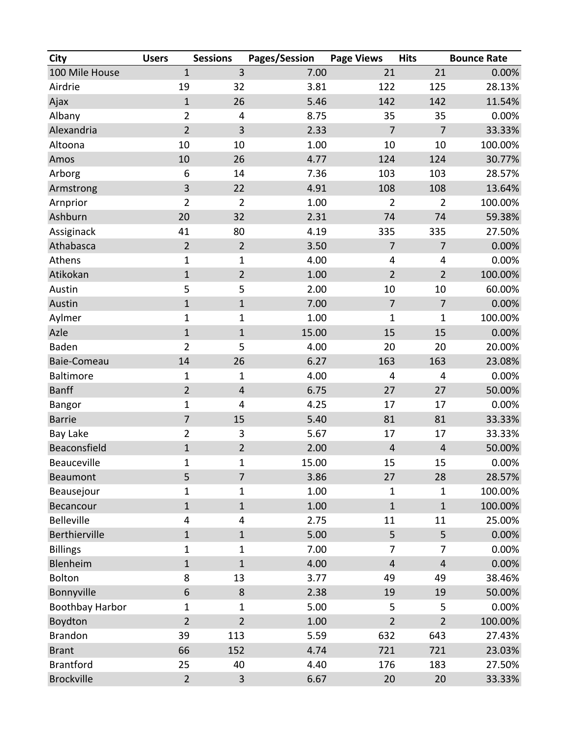| <b>City</b>            | <b>Users</b>            | <b>Sessions</b>         | Pages/Session | <b>Page Views</b> | <b>Hits</b>    | <b>Bounce Rate</b> |
|------------------------|-------------------------|-------------------------|---------------|-------------------|----------------|--------------------|
| 100 Mile House         | $\mathbf{1}$            | 3                       | 7.00          | 21                | 21             | 0.00%              |
| Airdrie                | 19                      | 32                      | 3.81          | 122               | 125            | 28.13%             |
| Ajax                   | $\mathbf 1$             | 26                      | 5.46          | 142               | 142            | 11.54%             |
| Albany                 | $\overline{2}$          | 4                       | 8.75          | 35                | 35             | 0.00%              |
| Alexandria             | $\overline{2}$          | 3                       | 2.33          | $\overline{7}$    | $\overline{7}$ | 33.33%             |
| Altoona                | 10                      | 10                      | 1.00          | 10                | 10             | 100.00%            |
| Amos                   | 10                      | 26                      | 4.77          | 124               | 124            | 30.77%             |
| Arborg                 | 6                       | 14                      | 7.36          | 103               | 103            | 28.57%             |
| Armstrong              | 3                       | 22                      | 4.91          | 108               | 108            | 13.64%             |
| Arnprior               | $\overline{2}$          | $\overline{2}$          | 1.00          | $\overline{2}$    | $\overline{2}$ | 100.00%            |
| Ashburn                | 20                      | 32                      | 2.31          | 74                | 74             | 59.38%             |
| Assiginack             | 41                      | 80                      | 4.19          | 335               | 335            | 27.50%             |
| Athabasca              | $\overline{2}$          | $\overline{2}$          | 3.50          | $\overline{7}$    | $\overline{7}$ | 0.00%              |
| Athens                 | $\mathbf 1$             | 1                       | 4.00          | 4                 | 4              | 0.00%              |
| Atikokan               | $\mathbf{1}$            | $\overline{2}$          | 1.00          | $\overline{2}$    | $\overline{2}$ | 100.00%            |
| Austin                 | 5                       | 5                       | 2.00          | 10                | 10             | 60.00%             |
| Austin                 | $\mathbf 1$             | $\mathbf{1}$            | 7.00          | $\overline{7}$    | $\overline{7}$ | 0.00%              |
| Aylmer                 | $\mathbf{1}$            | $\mathbf 1$             | 1.00          | 1                 | 1              | 100.00%            |
| Azle                   | $\mathbf{1}$            | $\mathbf 1$             | 15.00         | 15                | 15             | 0.00%              |
| Baden                  | $\overline{2}$          | 5                       | 4.00          | 20                | 20             | 20.00%             |
| Baie-Comeau            | 14                      | 26                      | 6.27          | 163               | 163            | 23.08%             |
| <b>Baltimore</b>       | $\mathbf 1$             | $\mathbf{1}$            | 4.00          | 4                 | 4              | 0.00%              |
| <b>Banff</b>           | $\overline{2}$          | $\overline{\mathbf{4}}$ | 6.75          | 27                | 27             | 50.00%             |
| <b>Bangor</b>          | $\mathbf{1}$            | 4                       | 4.25          | 17                | 17             | 0.00%              |
| <b>Barrie</b>          | $\overline{7}$          | 15                      | 5.40          | 81                | 81             | 33.33%             |
| <b>Bay Lake</b>        | $\overline{2}$          | 3                       | 5.67          | 17                | 17             | 33.33%             |
| Beaconsfield           | $\mathbf 1$             | $\overline{2}$          | 2.00          | $\overline{4}$    | $\overline{4}$ | 50.00%             |
| Beauceville            | $\mathbf 1$             | 1                       | 15.00         | 15                | 15             | 0.00%              |
| Beaumont               | 5                       | $\overline{7}$          | 3.86          | 27                | 28             | 28.57%             |
| Beausejour             | $\mathbf{1}$            | 1                       | 1.00          | 1                 | $\mathbf{1}$   | 100.00%            |
| Becancour              | $\mathbf{1}$            | $\mathbf{1}$            | 1.00          | $\mathbf 1$       | $\mathbf 1$    | 100.00%            |
| <b>Belleville</b>      | $\overline{\mathbf{4}}$ | 4                       | 2.75          | 11                | 11             | 25.00%             |
| Berthierville          | $\mathbf{1}$            | $\mathbf{1}$            | 5.00          | 5                 | 5              | 0.00%              |
| <b>Billings</b>        | $\mathbf{1}$            | $\mathbf{1}$            | 7.00          | 7                 | 7              | 0.00%              |
| Blenheim               | $\mathbf{1}$            | $\mathbf{1}$            | 4.00          | $\sqrt{4}$        | $\overline{4}$ | 0.00%              |
| Bolton                 | 8                       | 13                      | 3.77          | 49                | 49             | 38.46%             |
| Bonnyville             | $\boldsymbol{6}$        | $\,8\,$                 | 2.38          | 19                | 19             | 50.00%             |
| <b>Boothbay Harbor</b> | $\mathbf 1$             | $\mathbf{1}$            | 5.00          | 5                 | 5              | 0.00%              |
| Boydton                | $\overline{2}$          | $\overline{2}$          | 1.00          | $\overline{2}$    | $\overline{2}$ | 100.00%            |
| <b>Brandon</b>         | 39                      | 113                     | 5.59          | 632               | 643            | 27.43%             |
| <b>Brant</b>           | 66                      | 152                     | 4.74          | 721               | 721            | 23.03%             |
| <b>Brantford</b>       | 25                      | 40                      | 4.40          | 176               | 183            | 27.50%             |
| <b>Brockville</b>      | $\overline{2}$          | $\overline{3}$          | 6.67          | 20                | 20             | 33.33%             |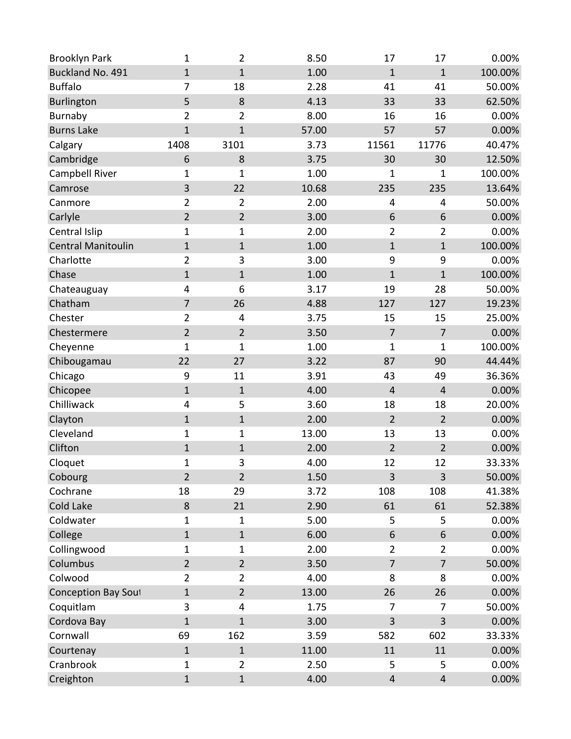| <b>Brooklyn Park</b>       | 1              | $\overline{2}$ | 8.50  | 17                      | 17               | 0.00%   |
|----------------------------|----------------|----------------|-------|-------------------------|------------------|---------|
| Buckland No. 491           | $\mathbf{1}$   | $\mathbf{1}$   | 1.00  | $\mathbf 1$             | $\mathbf{1}$     | 100.00% |
| <b>Buffalo</b>             | 7              | 18             | 2.28  | 41                      | 41               | 50.00%  |
| <b>Burlington</b>          | 5              | 8              | 4.13  | 33                      | 33               | 62.50%  |
| Burnaby                    | $\overline{2}$ | $\overline{2}$ | 8.00  | 16                      | 16               | 0.00%   |
| <b>Burns Lake</b>          | $\mathbf{1}$   | $\mathbf{1}$   | 57.00 | 57                      | 57               | 0.00%   |
| Calgary                    | 1408           | 3101           | 3.73  | 11561                   | 11776            | 40.47%  |
| Cambridge                  | 6              | 8              | 3.75  | 30                      | 30               | 12.50%  |
| Campbell River             | $\mathbf{1}$   | $\mathbf 1$    | 1.00  | $\mathbf 1$             | 1                | 100.00% |
| Camrose                    | 3              | 22             | 10.68 | 235                     | 235              | 13.64%  |
| Canmore                    | $\overline{2}$ | $\overline{2}$ | 2.00  | 4                       | 4                | 50.00%  |
| Carlyle                    | $\overline{2}$ | $\overline{2}$ | 3.00  | 6                       | 6                | 0.00%   |
| Central Islip              | $\mathbf{1}$   | $\mathbf{1}$   | 2.00  | $\overline{2}$          | $\overline{2}$   | 0.00%   |
| <b>Central Manitoulin</b>  | $\mathbf{1}$   | $\mathbf{1}$   | 1.00  | $\mathbf{1}$            | $\mathbf 1$      | 100.00% |
| Charlotte                  | $\overline{2}$ | 3              | 3.00  | 9                       | 9                | 0.00%   |
| Chase                      | $\mathbf 1$    | $\mathbf 1$    | 1.00  | $\mathbf 1$             | $\mathbf{1}$     | 100.00% |
| Chateauguay                | 4              | 6              | 3.17  | 19                      | 28               | 50.00%  |
| Chatham                    | $\overline{7}$ | 26             | 4.88  | 127                     | 127              | 19.23%  |
| Chester                    | $\overline{2}$ | 4              | 3.75  | 15                      | 15               | 25.00%  |
| Chestermere                | $\overline{2}$ | $\overline{2}$ | 3.50  | $\overline{7}$          | $\overline{7}$   | 0.00%   |
| Cheyenne                   | $\mathbf{1}$   | $\mathbf 1$    | 1.00  | $\overline{1}$          | $\mathbf 1$      | 100.00% |
| Chibougamau                | 22             | 27             | 3.22  | 87                      | 90               | 44.44%  |
| Chicago                    | 9              | 11             | 3.91  | 43                      | 49               | 36.36%  |
| Chicopee                   | $\mathbf{1}$   | $\mathbf{1}$   | 4.00  | 4                       | $\overline{4}$   | 0.00%   |
| Chilliwack                 | 4              | 5              | 3.60  | 18                      | 18               | 20.00%  |
| Clayton                    | $\mathbf{1}$   | $\mathbf{1}$   | 2.00  | $\overline{2}$          | $\overline{2}$   | 0.00%   |
| Cleveland                  | $\mathbf{1}$   | $\mathbf{1}$   | 13.00 | 13                      | 13               | 0.00%   |
| Clifton                    | $\mathbf 1$    | $\mathbf 1$    | 2.00  | $\overline{2}$          | $\overline{2}$   | 0.00%   |
| Cloquet                    | $\mathbf 1$    | 3              | 4.00  | 12                      | 12               | 33.33%  |
| Cobourg                    | $\overline{2}$ | $\overline{2}$ | 1.50  | 3                       | 3                | 50.00%  |
| Cochrane                   | 18             | 29             | 3.72  | 108                     | 108              | 41.38%  |
| Cold Lake                  | $\bf 8$        | 21             | 2.90  | 61                      | 61               | 52.38%  |
| Coldwater                  | $\mathbf{1}$   | 1              | 5.00  | 5                       | 5                | 0.00%   |
| College                    | $\mathbf 1$    | $\mathbf{1}$   | 6.00  | 6                       | $\boldsymbol{6}$ | 0.00%   |
| Collingwood                | $\mathbf{1}$   | 1              | 2.00  | $\overline{2}$          | $\overline{2}$   | 0.00%   |
| Columbus                   | $\overline{2}$ | $\overline{2}$ | 3.50  | $\overline{7}$          | $\overline{7}$   | 50.00%  |
| Colwood                    | $\overline{2}$ | $\overline{2}$ | 4.00  | 8                       | 8                | 0.00%   |
| <b>Conception Bay Sout</b> | $\mathbf 1$    | $\overline{2}$ | 13.00 | 26                      | 26               | 0.00%   |
| Coquitlam                  | 3              | 4              | 1.75  | 7                       | 7                | 50.00%  |
| Cordova Bay                | $\mathbf{1}$   | $\mathbf{1}$   | 3.00  | 3                       | 3                | 0.00%   |
| Cornwall                   | 69             | 162            | 3.59  | 582                     | 602              | 33.33%  |
| Courtenay                  | $\mathbf 1$    | $\mathbf{1}$   | 11.00 | 11                      | 11               | 0.00%   |
| Cranbrook                  | $\mathbf 1$    | $\overline{2}$ | 2.50  | 5                       | 5                | 0.00%   |
| Creighton                  | $\mathbf{1}$   | $\mathbf{1}$   | 4.00  | $\overline{\mathbf{4}}$ | $\overline{4}$   | 0.00%   |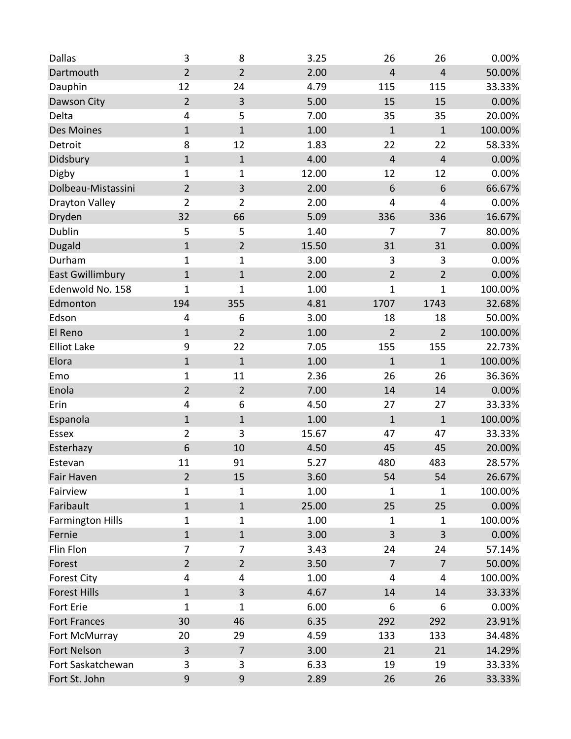| <b>Dallas</b>           | 3                       | 8                | 3.25  | 26                      | 26             | 0.00%   |
|-------------------------|-------------------------|------------------|-------|-------------------------|----------------|---------|
| Dartmouth               | $\overline{2}$          | $\overline{2}$   | 2.00  | $\overline{\mathbf{4}}$ | $\overline{4}$ | 50.00%  |
| Dauphin                 | 12                      | 24               | 4.79  | 115                     | 115            | 33.33%  |
| Dawson City             | $\overline{2}$          | 3                | 5.00  | 15                      | 15             | 0.00%   |
| Delta                   | $\overline{\mathbf{4}}$ | 5                | 7.00  | 35                      | 35             | 20.00%  |
| <b>Des Moines</b>       | $\mathbf{1}$            | $\mathbf 1$      | 1.00  | $\mathbf 1$             | $\mathbf 1$    | 100.00% |
| Detroit                 | 8                       | 12               | 1.83  | 22                      | 22             | 58.33%  |
| Didsbury                | $\mathbf 1$             | $\mathbf 1$      | 4.00  | $\overline{4}$          | $\overline{4}$ | 0.00%   |
| Digby                   | 1                       | $\mathbf 1$      | 12.00 | 12                      | 12             | 0.00%   |
| Dolbeau-Mistassini      | $\overline{2}$          | $\mathbf{3}$     | 2.00  | 6                       | 6              | 66.67%  |
| Drayton Valley          | $\overline{2}$          | $\overline{2}$   | 2.00  | 4                       | 4              | 0.00%   |
| Dryden                  | 32                      | 66               | 5.09  | 336                     | 336            | 16.67%  |
| Dublin                  | 5                       | 5                | 1.40  | 7                       | 7              | 80.00%  |
| Dugald                  | $\mathbf 1$             | $\overline{2}$   | 15.50 | 31                      | 31             | 0.00%   |
| Durham                  | $\mathbf{1}$            | $\mathbf{1}$     | 3.00  | 3                       | 3              | 0.00%   |
| <b>East Gwillimbury</b> | $\mathbf{1}$            | $\mathbf 1$      | 2.00  | $\overline{2}$          | $\overline{2}$ | 0.00%   |
| Edenwold No. 158        | $\mathbf{1}$            | $\mathbf 1$      | 1.00  | $\mathbf{1}$            | $\mathbf{1}$   | 100.00% |
| Edmonton                | 194                     | 355              | 4.81  | 1707                    | 1743           | 32.68%  |
| Edson                   | 4                       | 6                | 3.00  | 18                      | 18             | 50.00%  |
| El Reno                 | $\mathbf 1$             | $\overline{2}$   | 1.00  | $\overline{2}$          | $\overline{2}$ | 100.00% |
| <b>Elliot Lake</b>      | 9                       | 22               | 7.05  | 155                     | 155            | 22.73%  |
| Elora                   | $\mathbf 1$             | $\mathbf{1}$     | 1.00  | $\mathbf 1$             | $\mathbf 1$    | 100.00% |
| Emo                     | $\mathbf 1$             | 11               | 2.36  | 26                      | 26             | 36.36%  |
| Enola                   | $\overline{2}$          | $\overline{2}$   | 7.00  | 14                      | 14             | 0.00%   |
| Erin                    | $\overline{\mathbf{4}}$ | 6                | 4.50  | 27                      | 27             | 33.33%  |
| Espanola                | $\mathbf 1$             | $1\,$            | 1.00  | $\mathbf 1$             | $\mathbf 1$    | 100.00% |
| Essex                   | $\overline{2}$          | 3                | 15.67 | 47                      | 47             | 33.33%  |
| Esterhazy               | 6                       | 10               | 4.50  | 45                      | 45             | 20.00%  |
| Estevan                 | 11                      | 91               | 5.27  | 480                     | 483            | 28.57%  |
| <b>Fair Haven</b>       | $\overline{2}$          | 15               | 3.60  | 54                      | 54             | 26.67%  |
| Fairview                | 1                       | $\mathbf 1$      | 1.00  | $\mathbf{1}$            | $\mathbf{1}$   | 100.00% |
| Faribault               | $\mathbf 1$             | $\mathbf 1$      | 25.00 | 25                      | 25             | 0.00%   |
| <b>Farmington Hills</b> | 1                       | $\mathbf{1}$     | 1.00  | $\mathbf{1}$            | $\mathbf{1}$   | 100.00% |
| Fernie                  | $\mathbf{1}$            | $1\,$            | 3.00  | 3                       | 3              | 0.00%   |
| Flin Flon               | 7                       | $\overline{7}$   | 3.43  | 24                      | 24             | 57.14%  |
| Forest                  | $\overline{2}$          | $\overline{2}$   | 3.50  | $\overline{7}$          | $\overline{7}$ | 50.00%  |
| <b>Forest City</b>      | 4                       | 4                | 1.00  | $\overline{4}$          | 4              | 100.00% |
| <b>Forest Hills</b>     | $\mathbf 1$             | $\overline{3}$   | 4.67  | 14                      | 14             | 33.33%  |
| Fort Erie               | 1                       | $\mathbf{1}$     | 6.00  | 6                       | 6              | 0.00%   |
| <b>Fort Frances</b>     | 30                      | 46               | 6.35  | 292                     | 292            | 23.91%  |
| Fort McMurray           | 20                      | 29               | 4.59  | 133                     | 133            | 34.48%  |
| Fort Nelson             | $\mathsf{3}$            | $\overline{7}$   | 3.00  | 21                      | 21             | 14.29%  |
| Fort Saskatchewan       | 3                       | 3                | 6.33  | 19                      | 19             | 33.33%  |
| Fort St. John           | $9\,$                   | $\boldsymbol{9}$ | 2.89  | 26                      | 26             | 33.33%  |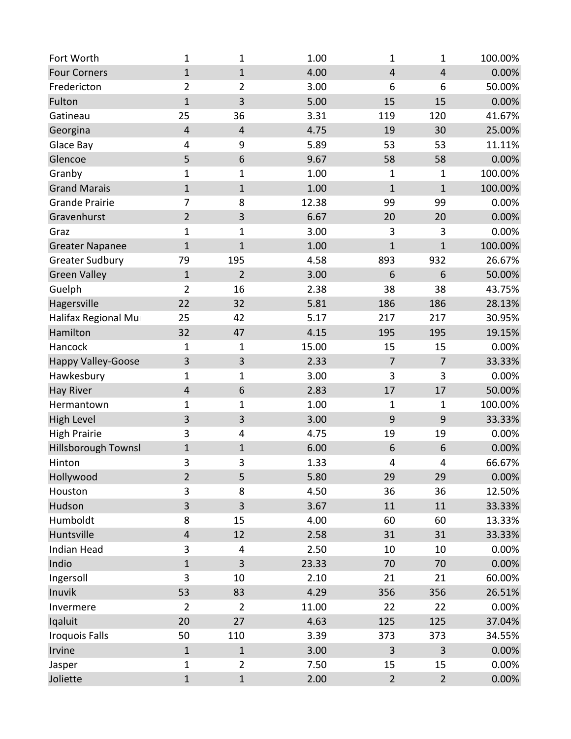| Fort Worth                | 1                       | 1                | 1.00  | $\mathbf{1}$            | $\mathbf{1}$            | 100.00% |
|---------------------------|-------------------------|------------------|-------|-------------------------|-------------------------|---------|
| <b>Four Corners</b>       | $\mathbf{1}$            | $\mathbf{1}$     | 4.00  | $\overline{\mathbf{4}}$ | $\overline{\mathbf{4}}$ | 0.00%   |
| Fredericton               | $\overline{2}$          | $\overline{2}$   | 3.00  | 6                       | 6                       | 50.00%  |
| Fulton                    | $\mathbf{1}$            | 3                | 5.00  | 15                      | 15                      | 0.00%   |
| Gatineau                  | 25                      | 36               | 3.31  | 119                     | 120                     | 41.67%  |
| Georgina                  | $\overline{\mathbf{4}}$ | $\overline{4}$   | 4.75  | 19                      | 30                      | 25.00%  |
| Glace Bay                 | 4                       | 9                | 5.89  | 53                      | 53                      | 11.11%  |
| Glencoe                   | 5                       | $\boldsymbol{6}$ | 9.67  | 58                      | 58                      | 0.00%   |
| Granby                    | $\mathbf{1}$            | $\mathbf 1$      | 1.00  | $\mathbf 1$             | $\mathbf{1}$            | 100.00% |
| <b>Grand Marais</b>       | $\mathbf{1}$            | $1\,$            | 1.00  | $\mathbf 1$             | $\mathbf 1$             | 100.00% |
| <b>Grande Prairie</b>     | $\overline{7}$          | 8                | 12.38 | 99                      | 99                      | 0.00%   |
| Gravenhurst               | $\overline{2}$          | 3                | 6.67  | 20                      | 20                      | 0.00%   |
| Graz                      | $\mathbf{1}$            | $\mathbf{1}$     | 3.00  | $\mathbf{3}$            | 3                       | 0.00%   |
| <b>Greater Napanee</b>    | $\mathbf{1}$            | $\mathbf{1}$     | 1.00  | $\mathbf 1$             | $\mathbf{1}$            | 100.00% |
| <b>Greater Sudbury</b>    | 79                      | 195              | 4.58  | 893                     | 932                     | 26.67%  |
| <b>Green Valley</b>       | $\mathbf 1$             | $\overline{2}$   | 3.00  | 6                       | 6                       | 50.00%  |
| Guelph                    | $\overline{2}$          | 16               | 2.38  | 38                      | 38                      | 43.75%  |
| Hagersville               | 22                      | 32               | 5.81  | 186                     | 186                     | 28.13%  |
| Halifax Regional Mur      | 25                      | 42               | 5.17  | 217                     | 217                     | 30.95%  |
| Hamilton                  | 32                      | 47               | 4.15  | 195                     | 195                     | 19.15%  |
| Hancock                   | $\mathbf{1}$            | $\mathbf{1}$     | 15.00 | 15                      | 15                      | 0.00%   |
| <b>Happy Valley-Goose</b> | 3                       | $\overline{3}$   | 2.33  | $\overline{7}$          | $\overline{7}$          | 33.33%  |
| Hawkesbury                | $\mathbf{1}$            | 1                | 3.00  | 3                       | 3                       | 0.00%   |
| <b>Hay River</b>          | $\overline{\mathbf{4}}$ | 6                | 2.83  | 17                      | 17                      | 50.00%  |
| Hermantown                | $\mathbf{1}$            | 1                | 1.00  | $\mathbf 1$             | $\mathbf{1}$            | 100.00% |
| <b>High Level</b>         | 3                       | 3                | 3.00  | $\boldsymbol{9}$        | 9                       | 33.33%  |
| <b>High Prairie</b>       | 3                       | 4                | 4.75  | 19                      | 19                      | 0.00%   |
| Hillsborough Townsl       | $\mathbf 1$             | $1\,$            | 6.00  | 6                       | 6                       | 0.00%   |
| Hinton                    | 3                       | 3                | 1.33  | 4                       | 4                       | 66.67%  |
| Hollywood                 | $\overline{2}$          | 5                | 5.80  | 29                      | 29                      | 0.00%   |
| Houston                   | 3                       | 8                | 4.50  | 36                      | 36                      | 12.50%  |
| Hudson                    | 3                       | 3                | 3.67  | 11                      | 11                      | 33.33%  |
| Humboldt                  | 8                       | 15               | 4.00  | 60                      | 60                      | 13.33%  |
| Huntsville                | $\sqrt{4}$              | 12               | 2.58  | 31                      | 31                      | 33.33%  |
| Indian Head               | 3                       | 4                | 2.50  | 10                      | 10                      | 0.00%   |
| Indio                     | $\mathbf{1}$            | 3                | 23.33 | 70                      | 70                      | 0.00%   |
| Ingersoll                 | 3                       | 10               | 2.10  | 21                      | 21                      | 60.00%  |
| Inuvik                    | 53                      | 83               | 4.29  | 356                     | 356                     | 26.51%  |
| Invermere                 | $\overline{2}$          | $\overline{2}$   | 11.00 | 22                      | 22                      | 0.00%   |
| Iqaluit                   | 20                      | 27               | 4.63  | 125                     | 125                     | 37.04%  |
| <b>Iroquois Falls</b>     | 50                      | 110              | 3.39  | 373                     | 373                     | 34.55%  |
| Irvine                    | $\mathbf 1$             | $\mathbf{1}$     | 3.00  | $\mathsf 3$             | $\overline{\mathbf{3}}$ | 0.00%   |
| Jasper                    | $\mathbf{1}$            | $\overline{2}$   | 7.50  | 15                      | 15                      | 0.00%   |
| Joliette                  | $\mathbf 1$             | $\mathbf 1$      | 2.00  | $\overline{2}$          | $\mathbf 2$             | 0.00%   |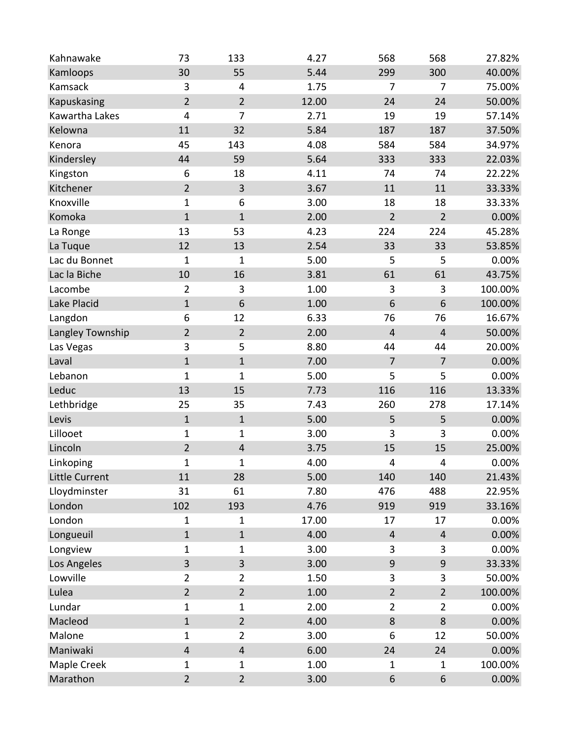| Kahnawake             | 73                      | 133            | 4.27  | 568                     | 568                     | 27.82%  |
|-----------------------|-------------------------|----------------|-------|-------------------------|-------------------------|---------|
| Kamloops              | 30                      | 55             | 5.44  | 299                     | 300                     | 40.00%  |
| Kamsack               | 3                       | $\overline{4}$ | 1.75  | 7                       | 7                       | 75.00%  |
| Kapuskasing           | $\overline{2}$          | $\overline{2}$ | 12.00 | 24                      | 24                      | 50.00%  |
| Kawartha Lakes        | 4                       | $\overline{7}$ | 2.71  | 19                      | 19                      | 57.14%  |
| Kelowna               | 11                      | 32             | 5.84  | 187                     | 187                     | 37.50%  |
| Kenora                | 45                      | 143            | 4.08  | 584                     | 584                     | 34.97%  |
| Kindersley            | 44                      | 59             | 5.64  | 333                     | 333                     | 22.03%  |
| Kingston              | 6                       | 18             | 4.11  | 74                      | 74                      | 22.22%  |
| Kitchener             | $\overline{2}$          | $\overline{3}$ | 3.67  | 11                      | 11                      | 33.33%  |
| Knoxville             | $\mathbf{1}$            | 6              | 3.00  | 18                      | 18                      | 33.33%  |
| Komoka                | $\mathbf{1}$            | $\mathbf{1}$   | 2.00  | $\overline{2}$          | $\overline{2}$          | 0.00%   |
| La Ronge              | 13                      | 53             | 4.23  | 224                     | 224                     | 45.28%  |
| La Tuque              | 12                      | 13             | 2.54  | 33                      | 33                      | 53.85%  |
| Lac du Bonnet         | $\mathbf{1}$            | 1              | 5.00  | 5                       | 5                       | 0.00%   |
| Lac la Biche          | 10                      | 16             | 3.81  | 61                      | 61                      | 43.75%  |
| Lacombe               | $\overline{2}$          | 3              | 1.00  | 3                       | 3                       | 100.00% |
| Lake Placid           | $\mathbf{1}$            | 6              | 1.00  | 6                       | 6                       | 100.00% |
| Langdon               | 6                       | 12             | 6.33  | 76                      | 76                      | 16.67%  |
| Langley Township      | $\overline{2}$          | $\overline{2}$ | 2.00  | $\overline{\mathbf{4}}$ | $\overline{\mathbf{4}}$ | 50.00%  |
| Las Vegas             | 3                       | 5              | 8.80  | 44                      | 44                      | 20.00%  |
| Laval                 | $\mathbf 1$             | $\mathbf{1}$   | 7.00  | $\overline{7}$          | $\overline{7}$          | 0.00%   |
| Lebanon               | $\mathbf{1}$            | $\mathbf 1$    | 5.00  | 5                       | 5                       | 0.00%   |
| Leduc                 | 13                      | 15             | 7.73  | 116                     | 116                     | 13.33%  |
| Lethbridge            | 25                      | 35             | 7.43  | 260                     | 278                     | 17.14%  |
| Levis                 | $\mathbf 1$             | $1\,$          | 5.00  | 5                       | 5                       | 0.00%   |
| Lillooet              | $\mathbf{1}$            | $\mathbf{1}$   | 3.00  | 3                       | 3                       | 0.00%   |
| Lincoln               | $\overline{2}$          | $\overline{4}$ | 3.75  | 15                      | 15                      | 25.00%  |
| Linkoping             | $\mathbf{1}$            | 1              | 4.00  | 4                       | 4                       | 0.00%   |
| <b>Little Current</b> | 11                      | 28             | 5.00  | 140                     | 140                     | 21.43%  |
| Lloydminster          | 31                      | 61             | 7.80  | 476                     | 488                     | 22.95%  |
| London                | 102                     | 193            | 4.76  | 919                     | 919                     | 33.16%  |
| London                | 1                       | $\mathbf 1$    | 17.00 | 17                      | 17                      | 0.00%   |
| Longueuil             | $\mathbf{1}$            | $\mathbf{1}$   | 4.00  | 4                       | 4                       | 0.00%   |
| Longview              | $\mathbf{1}$            | 1              | 3.00  | $\mathbf{3}$            | 3                       | 0.00%   |
| Los Angeles           | 3                       | 3              | 3.00  | $\boldsymbol{9}$        | 9                       | 33.33%  |
| Lowville              | $\overline{2}$          | $\overline{2}$ | 1.50  | 3                       | 3                       | 50.00%  |
| Lulea                 | $\overline{2}$          | $\overline{2}$ | 1.00  | $\overline{2}$          | $\overline{2}$          | 100.00% |
| Lundar                | $\mathbf{1}$            | $\mathbf{1}$   | 2.00  | $\overline{2}$          | $\overline{2}$          | 0.00%   |
| Macleod               | $\mathbf{1}$            | $\overline{2}$ | 4.00  | $\bf 8$                 | 8                       | 0.00%   |
| Malone                | $\mathbf{1}$            | $\overline{2}$ | 3.00  | 6                       | 12                      | 50.00%  |
| Maniwaki              | $\overline{\mathbf{4}}$ | $\overline{4}$ | 6.00  | 24                      | 24                      | 0.00%   |
| Maple Creek           | $\mathbf 1$             | 1              | 1.00  | $\mathbf 1$             | $\mathbf 1$             | 100.00% |
| Marathon              | $\overline{2}$          | $\overline{2}$ | 3.00  | $\boldsymbol{6}$        | 6                       | 0.00%   |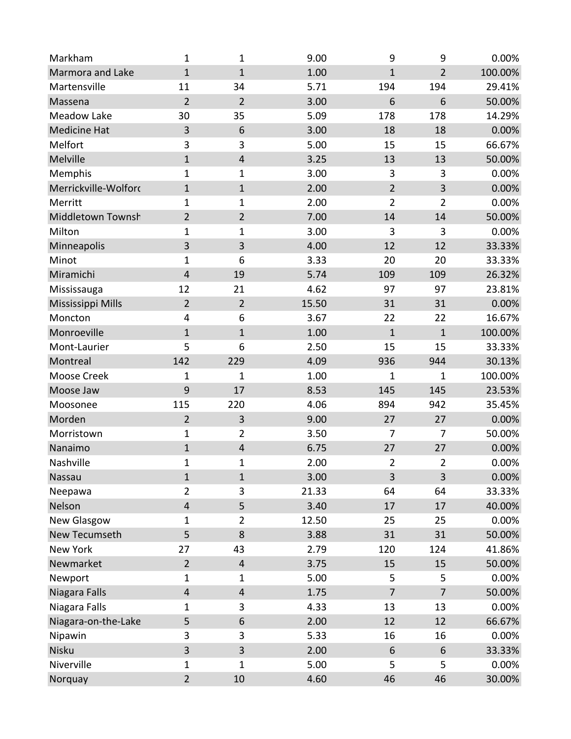| Markham              | $\mathbf{1}$            | $\mathbf{1}$            | 9.00  | 9              | 9                | 0.00%   |
|----------------------|-------------------------|-------------------------|-------|----------------|------------------|---------|
| Marmora and Lake     | $\mathbf{1}$            | $\mathbf{1}$            | 1.00  | $\mathbf{1}$   | $\overline{2}$   | 100.00% |
| Martensville         | 11                      | 34                      | 5.71  | 194            | 194              | 29.41%  |
| Massena              | $\overline{2}$          | $\overline{2}$          | 3.00  | 6              | 6                | 50.00%  |
| <b>Meadow Lake</b>   | 30                      | 35                      | 5.09  | 178            | 178              | 14.29%  |
| <b>Medicine Hat</b>  | 3                       | 6                       | 3.00  | 18             | 18               | 0.00%   |
| Melfort              | 3                       | 3                       | 5.00  | 15             | 15               | 66.67%  |
| Melville             | $\mathbf{1}$            | $\overline{\mathbf{4}}$ | 3.25  | 13             | 13               | 50.00%  |
| Memphis              | 1                       | $\mathbf 1$             | 3.00  | 3              | $\mathbf{3}$     | 0.00%   |
| Merrickville-Wolford | $\mathbf{1}$            | $\mathbf 1$             | 2.00  | $\overline{2}$ | $\mathbf{3}$     | 0.00%   |
| Merritt              | $\mathbf 1$             | $\mathbf{1}$            | 2.00  | $\overline{2}$ | $\overline{2}$   | 0.00%   |
| Middletown Townsh    | $\overline{2}$          | $\overline{2}$          | 7.00  | 14             | 14               | 50.00%  |
| Milton               | $\mathbf{1}$            | $\mathbf{1}$            | 3.00  | 3              | 3                | 0.00%   |
| Minneapolis          | 3                       | 3                       | 4.00  | 12             | 12               | 33.33%  |
| Minot                | 1                       | 6                       | 3.33  | 20             | 20               | 33.33%  |
| Miramichi            | $\overline{\mathbf{4}}$ | 19                      | 5.74  | 109            | 109              | 26.32%  |
| Mississauga          | 12                      | 21                      | 4.62  | 97             | 97               | 23.81%  |
| Mississippi Mills    | $\overline{2}$          | $\overline{2}$          | 15.50 | 31             | 31               | 0.00%   |
| Moncton              | $\overline{\mathbf{4}}$ | 6                       | 3.67  | 22             | 22               | 16.67%  |
| Monroeville          | $\mathbf 1$             | $\mathbf 1$             | 1.00  | $\mathbf 1$    | $\mathbf 1$      | 100.00% |
| Mont-Laurier         | 5                       | 6                       | 2.50  | 15             | 15               | 33.33%  |
| Montreal             | 142                     | 229                     | 4.09  | 936            | 944              | 30.13%  |
| Moose Creek          | 1                       | 1                       | 1.00  | $\mathbf 1$    | $\mathbf{1}$     | 100.00% |
| Moose Jaw            | 9                       | 17                      | 8.53  | 145            | 145              | 23.53%  |
| Moosonee             | 115                     | 220                     | 4.06  | 894            | 942              | 35.45%  |
| Morden               | $\overline{2}$          | $\overline{3}$          | 9.00  | 27             | 27               | 0.00%   |
| Morristown           | $\mathbf{1}$            | $\overline{2}$          | 3.50  | 7              | 7                | 50.00%  |
| Nanaimo              | $\mathbf 1$             | $\overline{4}$          | 6.75  | 27             | 27               | 0.00%   |
| Nashville            | 1                       | 1                       | 2.00  | $\overline{2}$ | $\overline{2}$   | 0.00%   |
| Nassau               | $\mathbf{1}$            | $\mathbf{1}$            | 3.00  | 3              | 3                | 0.00%   |
| Neepawa              | $\overline{2}$          | 3                       | 21.33 | 64             | 64               | 33.33%  |
| Nelson               | $\overline{\mathbf{4}}$ | 5                       | 3.40  | 17             | 17               | 40.00%  |
| New Glasgow          | 1                       | $\overline{2}$          | 12.50 | 25             | 25               | 0.00%   |
| New Tecumseth        | 5                       | 8                       | 3.88  | 31             | 31               | 50.00%  |
| New York             | 27                      | 43                      | 2.79  | 120            | 124              | 41.86%  |
| Newmarket            | $\overline{2}$          | $\overline{4}$          | 3.75  | 15             | 15               | 50.00%  |
| Newport              | 1                       | $\mathbf{1}$            | 5.00  | 5              | 5                | 0.00%   |
| Niagara Falls        | $\overline{\mathbf{4}}$ | $\overline{4}$          | 1.75  | $\overline{7}$ | $\overline{7}$   | 50.00%  |
| Niagara Falls        | 1                       | 3                       | 4.33  | 13             | 13               | 0.00%   |
| Niagara-on-the-Lake  | 5                       | 6                       | 2.00  | 12             | 12               | 66.67%  |
| Nipawin              | 3                       | 3                       | 5.33  | 16             | 16               | 0.00%   |
| Nisku                | 3                       | 3                       | 2.00  | 6              | $\boldsymbol{6}$ | 33.33%  |
| Niverville           | 1                       | 1                       | 5.00  | 5              | 5                | 0.00%   |
| Norquay              | $\overline{2}$          | 10                      | 4.60  | 46             | 46               | 30.00%  |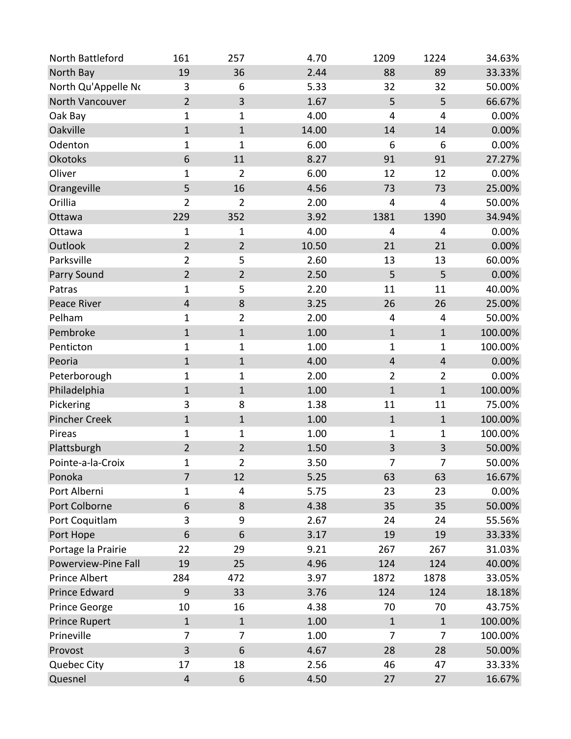| North Battleford     | 161                     | 257            | 4.70  | 1209           | 1224           | 34.63%  |
|----------------------|-------------------------|----------------|-------|----------------|----------------|---------|
| North Bay            | 19                      | 36             | 2.44  | 88             | 89             | 33.33%  |
| North Qu'Appelle No  | 3                       | 6              | 5.33  | 32             | 32             | 50.00%  |
| North Vancouver      | $\overline{2}$          | 3              | 1.67  | 5              | 5              | 66.67%  |
| Oak Bay              | $\mathbf{1}$            | $\mathbf 1$    | 4.00  | 4              | 4              | 0.00%   |
| Oakville             | $\mathbf 1$             | $\mathbf{1}$   | 14.00 | 14             | 14             | 0.00%   |
| Odenton              | 1                       | $\mathbf 1$    | 6.00  | 6              | 6              | 0.00%   |
| Okotoks              | $\,$ 6 $\,$             | 11             | 8.27  | 91             | 91             | 27.27%  |
| Oliver               | $\mathbf{1}$            | $\overline{2}$ | 6.00  | 12             | 12             | 0.00%   |
| Orangeville          | 5                       | 16             | 4.56  | 73             | 73             | 25.00%  |
| Orillia              | $\overline{2}$          | $\overline{2}$ | 2.00  | 4              | 4              | 50.00%  |
| Ottawa               | 229                     | 352            | 3.92  | 1381           | 1390           | 34.94%  |
| Ottawa               | 1                       | $\mathbf{1}$   | 4.00  | 4              | 4              | 0.00%   |
| Outlook              | $\overline{2}$          | $\overline{2}$ | 10.50 | 21             | 21             | 0.00%   |
| Parksville           | $\overline{2}$          | 5              | 2.60  | 13             | 13             | 60.00%  |
| Parry Sound          | $\overline{2}$          | $\overline{2}$ | 2.50  | 5              | 5              | 0.00%   |
| Patras               | 1                       | 5              | 2.20  | 11             | 11             | 40.00%  |
| Peace River          | $\sqrt{4}$              | $\bf 8$        | 3.25  | 26             | 26             | 25.00%  |
| Pelham               | 1                       | $\overline{2}$ | 2.00  | 4              | 4              | 50.00%  |
| Pembroke             | $\mathbf 1$             | $1\,$          | 1.00  | $\mathbf 1$    | $\mathbf 1$    | 100.00% |
| Penticton            | $\mathbf{1}$            | $\mathbf 1$    | 1.00  | $\mathbf{1}$   | $\mathbf{1}$   | 100.00% |
| Peoria               | $\mathbf 1$             | $\mathbf{1}$   | 4.00  | $\sqrt{4}$     | $\sqrt{4}$     | 0.00%   |
| Peterborough         | $\mathbf{1}$            | $\mathbf 1$    | 2.00  | $\overline{2}$ | $\overline{2}$ | 0.00%   |
| Philadelphia         | $\mathbf{1}$            | $\mathbf{1}$   | 1.00  | $\mathbf 1$    | $\mathbf 1$    | 100.00% |
| Pickering            | 3                       | 8              | 1.38  | 11             | 11             | 75.00%  |
| <b>Pincher Creek</b> | $\mathbf 1$             | $\mathbf{1}$   | 1.00  | $\mathbf 1$    | $\mathbf 1$    | 100.00% |
| Pireas               | $\mathbf{1}$            | $\mathbf{1}$   | 1.00  | $\mathbf 1$    | $\mathbf{1}$   | 100.00% |
| Plattsburgh          | $\overline{2}$          | $\overline{2}$ | 1.50  | $\mathsf{3}$   | $\overline{3}$ | 50.00%  |
| Pointe-a-la-Croix    | $\mathbf{1}$            | $\overline{2}$ | 3.50  | 7              | 7              | 50.00%  |
| Ponoka               | $\overline{7}$          | 12             | 5.25  | 63             | 63             | 16.67%  |
| Port Alberni         | 1                       | 4              | 5.75  | 23             | 23             | 0.00%   |
| Port Colborne        | 6                       | $\bf 8$        | 4.38  | 35             | 35             | 50.00%  |
| Port Coquitlam       | 3                       | 9              | 2.67  | 24             | 24             | 55.56%  |
| Port Hope            | 6                       | 6              | 3.17  | 19             | 19             | 33.33%  |
| Portage la Prairie   | 22                      | 29             | 9.21  | 267            | 267            | 31.03%  |
| Powerview-Pine Fall  | 19                      | 25             | 4.96  | 124            | 124            | 40.00%  |
| <b>Prince Albert</b> | 284                     | 472            | 3.97  | 1872           | 1878           | 33.05%  |
| <b>Prince Edward</b> | 9                       | 33             | 3.76  | 124            | 124            | 18.18%  |
| Prince George        | 10                      | 16             | 4.38  | 70             | 70             | 43.75%  |
| <b>Prince Rupert</b> | $\mathbf 1$             | $1\,$          | 1.00  | $\mathbf 1$    | $\mathbf 1$    | 100.00% |
| Prineville           | 7                       | $\overline{7}$ | 1.00  | 7              | 7              | 100.00% |
| Provost              | 3                       | 6              | 4.67  | 28             | 28             | 50.00%  |
| Quebec City          | 17                      | 18             | 2.56  | 46             | 47             | 33.33%  |
| Quesnel              | $\overline{\mathbf{4}}$ | 6              | 4.50  | 27             | 27             | 16.67%  |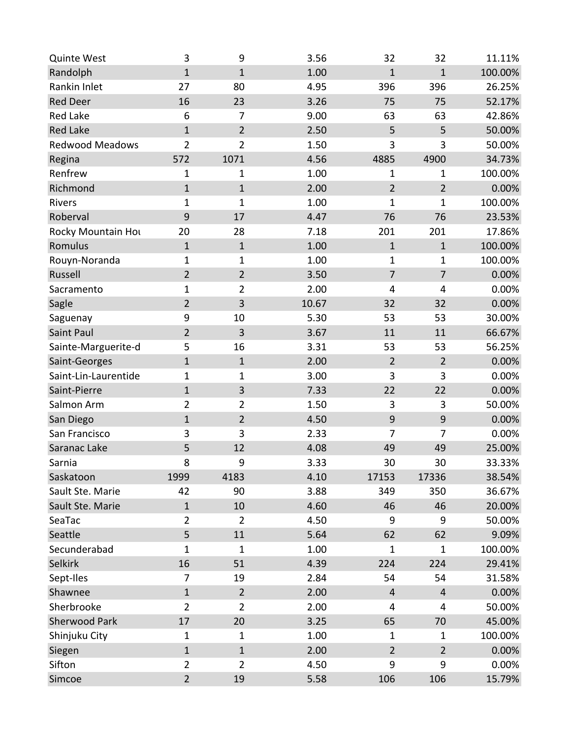| <b>Quinte West</b>     | 3              | 9              | 3.56  | 32               | 32               | 11.11%  |
|------------------------|----------------|----------------|-------|------------------|------------------|---------|
| Randolph               | $\mathbf{1}$   | $\mathbf{1}$   | 1.00  | $\mathbf{1}$     | $\mathbf{1}$     | 100.00% |
| Rankin Inlet           | 27             | 80             | 4.95  | 396              | 396              | 26.25%  |
| <b>Red Deer</b>        | 16             | 23             | 3.26  | 75               | 75               | 52.17%  |
| <b>Red Lake</b>        | 6              | 7              | 9.00  | 63               | 63               | 42.86%  |
| <b>Red Lake</b>        | $\mathbf{1}$   | $\overline{2}$ | 2.50  | 5                | 5                | 50.00%  |
| <b>Redwood Meadows</b> | $\overline{2}$ | $\overline{2}$ | 1.50  | 3                | 3                | 50.00%  |
| Regina                 | 572            | 1071           | 4.56  | 4885             | 4900             | 34.73%  |
| Renfrew                | 1              | 1              | 1.00  | 1                | $\mathbf{1}$     | 100.00% |
| Richmond               | $\mathbf{1}$   | $1\,$          | 2.00  | $\overline{2}$   | $\overline{2}$   | 0.00%   |
| Rivers                 | 1              | $\mathbf 1$    | 1.00  | $\mathbf 1$      | $\mathbf{1}$     | 100.00% |
| Roberval               | $\overline{9}$ | 17             | 4.47  | 76               | 76               | 23.53%  |
| Rocky Mountain Hou     | 20             | 28             | 7.18  | 201              | 201              | 17.86%  |
| Romulus                | $\mathbf{1}$   | $\mathbf{1}$   | 1.00  | $\mathbf 1$      | $\mathbf 1$      | 100.00% |
| Rouyn-Noranda          | 1              | $\mathbf{1}$   | 1.00  | $\mathbf{1}$     | $\mathbf{1}$     | 100.00% |
| Russell                | $\overline{2}$ | $\overline{2}$ | 3.50  | $\overline{7}$   | $\overline{7}$   | 0.00%   |
| Sacramento             | 1              | $\overline{2}$ | 2.00  | 4                | 4                | 0.00%   |
| Sagle                  | $\overline{2}$ | 3              | 10.67 | 32               | 32               | 0.00%   |
| Saguenay               | 9              | 10             | 5.30  | 53               | 53               | 30.00%  |
| Saint Paul             | $\overline{2}$ | 3              | 3.67  | 11               | 11               | 66.67%  |
| Sainte-Marguerite-d    | 5              | 16             | 3.31  | 53               | 53               | 56.25%  |
| Saint-Georges          | $\mathbf{1}$   | $\mathbf{1}$   | 2.00  | $\overline{2}$   | $\overline{2}$   | 0.00%   |
| Saint-Lin-Laurentide   | $\mathbf{1}$   | $\mathbf{1}$   | 3.00  | 3                | 3                | 0.00%   |
| Saint-Pierre           | $\mathbf{1}$   | 3              | 7.33  | 22               | 22               | 0.00%   |
| Salmon Arm             | $\overline{2}$ | $\overline{2}$ | 1.50  | 3                | 3                | 50.00%  |
| San Diego              | $\mathbf 1$    | $\overline{2}$ | 4.50  | $\boldsymbol{9}$ | $\boldsymbol{9}$ | 0.00%   |
| San Francisco          | 3              | 3              | 2.33  | 7                | 7                | 0.00%   |
| Saranac Lake           | 5              | 12             | 4.08  | 49               | 49               | 25.00%  |
| Sarnia                 | 8              | 9              | 3.33  | 30               | 30               | 33.33%  |
| Saskatoon              | 1999           | 4183           | 4.10  | 17153            | 17336            | 38.54%  |
| Sault Ste. Marie       | 42             | 90             | 3.88  | 349              | 350              | 36.67%  |
| Sault Ste. Marie       | $\mathbf 1$    | 10             | 4.60  | 46               | 46               | 20.00%  |
| SeaTac                 | $\overline{2}$ | $\overline{2}$ | 4.50  | 9                | 9                | 50.00%  |
| Seattle                | 5              | 11             | 5.64  | 62               | 62               | 9.09%   |
| Secunderabad           | $\mathbf{1}$   | $\mathbf{1}$   | 1.00  | $\mathbf{1}$     | $\mathbf{1}$     | 100.00% |
| Selkirk                | 16             | 51             | 4.39  | 224              | 224              | 29.41%  |
| Sept-Iles              | $\overline{7}$ | 19             | 2.84  | 54               | 54               | 31.58%  |
| Shawnee                | $\mathbf{1}$   | $\overline{2}$ | 2.00  | $\overline{4}$   | $\overline{4}$   | 0.00%   |
| Sherbrooke             | $\overline{2}$ | $\overline{2}$ | 2.00  | 4                | 4                | 50.00%  |
| Sherwood Park          | 17             | 20             | 3.25  | 65               | 70               | 45.00%  |
| Shinjuku City          | $\mathbf{1}$   | $\mathbf{1}$   | 1.00  | $\mathbf{1}$     | $\mathbf{1}$     | 100.00% |
| Siegen                 | $\mathbf 1$    | $\mathbf{1}$   | 2.00  | $\overline{2}$   | $\overline{2}$   | 0.00%   |
| Sifton                 | $\overline{2}$ | $\overline{2}$ | 4.50  | 9                | 9                | 0.00%   |
| Simcoe                 | $\overline{2}$ | 19             | 5.58  | 106              | 106              | 15.79%  |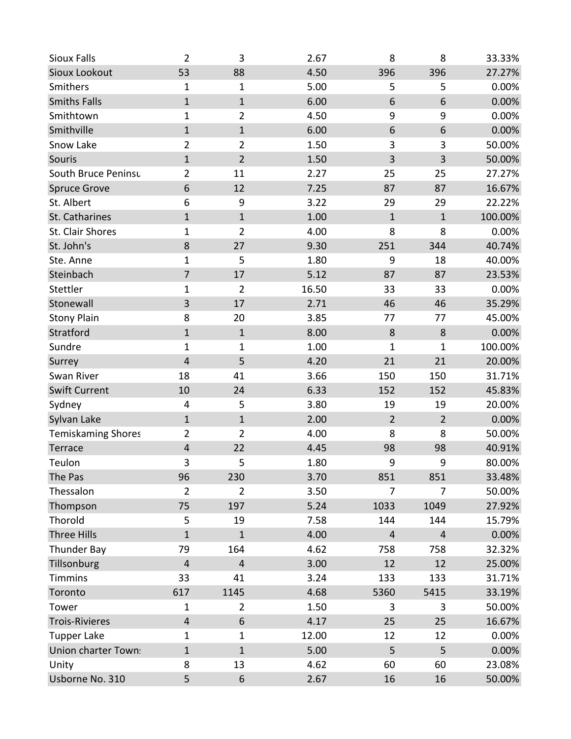| <b>Sioux Falls</b>         | $\overline{2}$          | 3              | 2.67  | 8                       | 8              | 33.33%  |
|----------------------------|-------------------------|----------------|-------|-------------------------|----------------|---------|
| Sioux Lookout              | 53                      | 88             | 4.50  | 396                     | 396            | 27.27%  |
| Smithers                   | 1                       | $\mathbf{1}$   | 5.00  | 5                       | 5              | 0.00%   |
| <b>Smiths Falls</b>        | $\mathbf{1}$            | $\mathbf 1$    | 6.00  | 6                       | 6              | 0.00%   |
| Smithtown                  | $\mathbf{1}$            | $\overline{2}$ | 4.50  | 9                       | 9              | 0.00%   |
| Smithville                 | $\mathbf{1}$            | $1\,$          | 6.00  | 6                       | 6              | 0.00%   |
| Snow Lake                  | $\overline{2}$          | $\overline{2}$ | 1.50  | 3                       | 3              | 50.00%  |
| Souris                     | $\mathbf 1$             | $\overline{2}$ | 1.50  | $\mathbf{3}$            | $\mathbf{3}$   | 50.00%  |
| South Bruce Peninsu        | $\overline{2}$          | 11             | 2.27  | 25                      | 25             | 27.27%  |
| <b>Spruce Grove</b>        | 6                       | 12             | 7.25  | 87                      | 87             | 16.67%  |
| St. Albert                 | 6                       | 9              | 3.22  | 29                      | 29             | 22.22%  |
| St. Catharines             | $\mathbf{1}$            | $\mathbf{1}$   | 1.00  | $\mathbf 1$             | $\mathbf 1$    | 100.00% |
| St. Clair Shores           | $\mathbf{1}$            | $\overline{2}$ | 4.00  | 8                       | 8              | 0.00%   |
| St. John's                 | 8                       | 27             | 9.30  | 251                     | 344            | 40.74%  |
| Ste. Anne                  | $\mathbf{1}$            | 5              | 1.80  | 9                       | 18             | 40.00%  |
| Steinbach                  | $\overline{7}$          | 17             | 5.12  | 87                      | 87             | 23.53%  |
| Stettler                   | $\mathbf{1}$            | $\overline{2}$ | 16.50 | 33                      | 33             | 0.00%   |
| Stonewall                  | 3                       | 17             | 2.71  | 46                      | 46             | 35.29%  |
| <b>Stony Plain</b>         | 8                       | 20             | 3.85  | 77                      | 77             | 45.00%  |
| Stratford                  | $\mathbf{1}$            | $\mathbf{1}$   | 8.00  | 8                       | 8              | 0.00%   |
| Sundre                     | $\mathbf{1}$            | $\mathbf 1$    | 1.00  | $\mathbf{1}$            | $\mathbf{1}$   | 100.00% |
| Surrey                     | $\overline{\mathbf{4}}$ | 5              | 4.20  | 21                      | 21             | 20.00%  |
| Swan River                 | 18                      | 41             | 3.66  | 150                     | 150            | 31.71%  |
| <b>Swift Current</b>       | 10                      | 24             | 6.33  | 152                     | 152            | 45.83%  |
| Sydney                     | 4                       | 5              | 3.80  | 19                      | 19             | 20.00%  |
| Sylvan Lake                | $\mathbf{1}$            | $\mathbf{1}$   | 2.00  | $\overline{2}$          | $\overline{2}$ | 0.00%   |
| <b>Temiskaming Shores</b>  | $\overline{2}$          | $\overline{2}$ | 4.00  | 8                       | 8              | 50.00%  |
| Terrace                    | $\overline{\mathbf{4}}$ | 22             | 4.45  | 98                      | 98             | 40.91%  |
| Teulon                     | 3                       | 5              | 1.80  | 9                       | 9              | 80.00%  |
| The Pas                    | 96                      | 230            | 3.70  | 851                     | 851            | 33.48%  |
| Thessalon                  | $\overline{2}$          | $\overline{2}$ | 3.50  | 7                       | 7              | 50.00%  |
| Thompson                   | 75                      | 197            | 5.24  | 1033                    | 1049           | 27.92%  |
| Thorold                    | 5                       | 19             | 7.58  | 144                     | 144            | 15.79%  |
| Three Hills                | $\mathbf{1}$            | $\mathbf{1}$   | 4.00  | $\overline{\mathbf{4}}$ | 4              | 0.00%   |
| Thunder Bay                | 79                      | 164            | 4.62  | 758                     | 758            | 32.32%  |
| Tillsonburg                | $\overline{\mathbf{4}}$ | $\overline{4}$ | 3.00  | 12                      | 12             | 25.00%  |
| <b>Timmins</b>             | 33                      | 41             | 3.24  | 133                     | 133            | 31.71%  |
| Toronto                    | 617                     | 1145           | 4.68  | 5360                    | 5415           | 33.19%  |
| Tower                      | $\mathbf{1}$            | $\overline{2}$ | 1.50  | 3                       | 3              | 50.00%  |
| <b>Trois-Rivieres</b>      | $\overline{\mathbf{4}}$ | 6              | 4.17  | 25                      | 25             | 16.67%  |
| <b>Tupper Lake</b>         | $\mathbf{1}$            | 1              | 12.00 | 12                      | 12             | 0.00%   |
| <b>Union charter Town:</b> | $\mathbf 1$             | $\mathbf{1}$   | 5.00  | 5                       | 5              | 0.00%   |
| Unity                      | 8                       | 13             | 4.62  | 60                      | 60             | 23.08%  |
| Usborne No. 310            | 5                       | 6              | 2.67  | 16                      | 16             | 50.00%  |